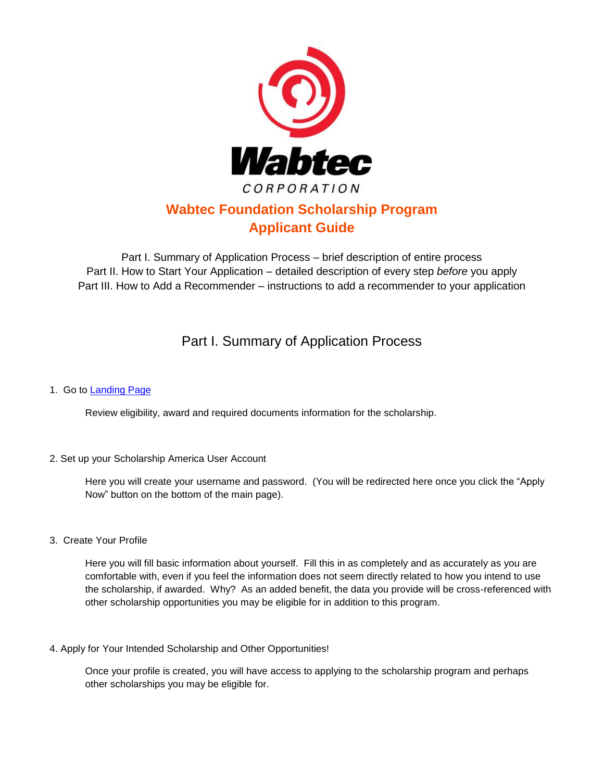

# **Wabtec Foundation Scholarship Program Applicant Guide**

Part I. Summary of Application Process – brief description of entire process Part II. How to Start Your Application – detailed description of every step *before* you apply Part III. How to Add a Recommender – instructions to add a recommender to your application

# Part I. Summary of Application Process

### 1. Go to Landing Page

Review eligibility, award and required documents information for the scholarship.

#### 2. Set up your Scholarship America User Account

Here you will create your username and password. (You will be redirected here once you click the "Apply Now" button on the bottom of the main page).

3. Create Your Profile

Here you will fill basic information about yourself. Fill this in as completely and as accurately as you are comfortable with, even if you feel the information does not seem directly related to how you intend to use the scholarship, if awarded. Why? As an added benefit, the data you provide will be cross-referenced with other scholarship opportunities you may be eligible for in addition to this program.

4. Apply for Your Intended Scholarship and Other Opportunities!

Once your profile is created, you will have access to applying to the scholarship program and perhaps other scholarships you may be eligible for.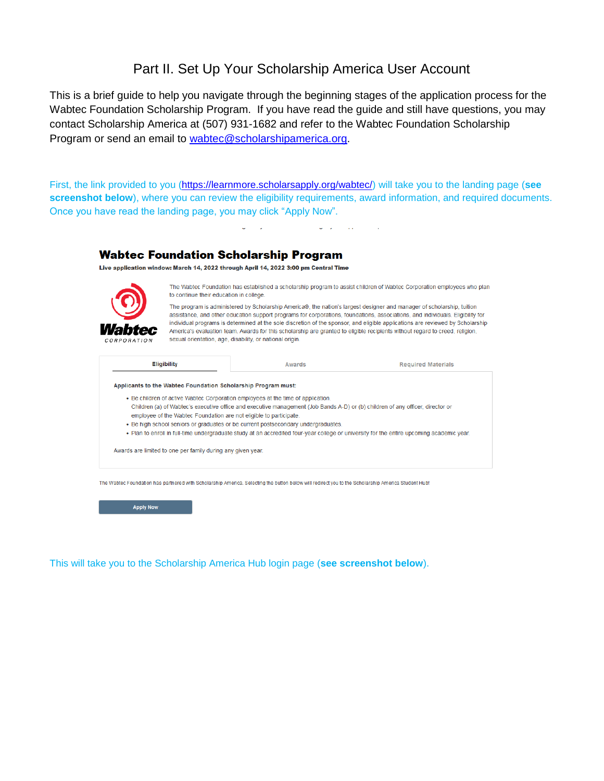## Part II. Set Up Your Scholarship America User Account

This is a brief guide to help you navigate through the beginning stages of the application process for the Wabtec Foundation Scholarship Program. If you have read the guide and still have questions, you may contact Scholarship America at (507) 931-1682 and refer to the Wabtec Foundation Scholarship Program or send an email to [wabtec@scholarshipamerica.org.](mailto:wabtec@scholarshipamerica.org)

First, the link provided to you [\(https://learnmore.scholarsapply.org/wabtec/\)](https://learnmore.scholarsapply.org/wabtec/) will take you to the landing page (**see screenshot below**), where you can review the eligibility requirements, award information, and required documents. Once you have read the landing page, you may click "Apply Now".



**Apply Now** 

This will take you to the Scholarship America Hub login page (**see screenshot below**).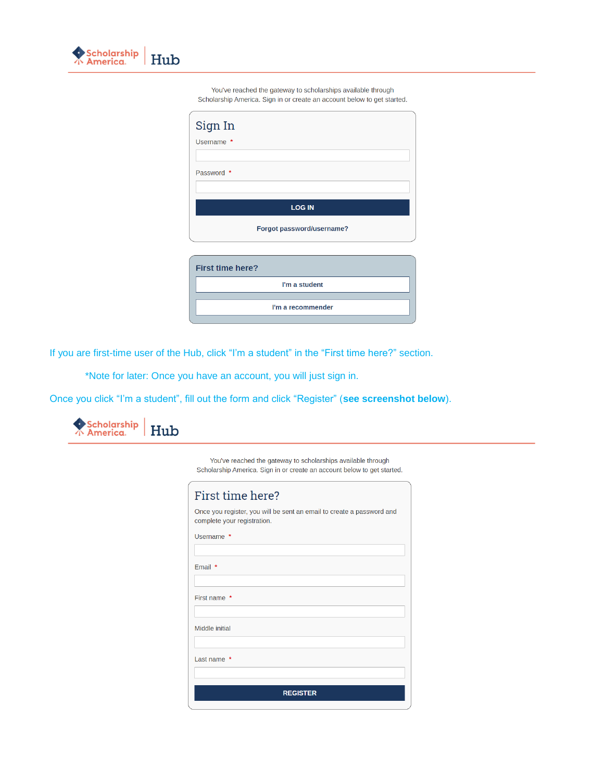

You've reached the gateway to scholarships available through Scholarship America. Sign in or create an account below to get started.

| Sign In                   |
|---------------------------|
| Username *                |
|                           |
| Password *                |
| <b>LOG IN</b>             |
| Forgot password/username? |
| <b>First time here?</b>   |
| I'm a student             |
| I'm a recommender         |

If you are first-time user of the Hub, click "I'm a student" in the "First time here?" section.

\*Note for later: Once you have an account, you will just sign in.

Once you click "I'm a student", fill out the form and click "Register" (**see screenshot below**).



You've reached the gateway to scholarships available through Scholarship America. Sign in or create an account below to get started.

| First time here?                                                                                     |
|------------------------------------------------------------------------------------------------------|
| Once you register, you will be sent an email to create a password and<br>complete your registration. |
| Username *                                                                                           |
| Email $*$                                                                                            |
|                                                                                                      |
| First name *                                                                                         |
| Middle initial                                                                                       |
| Last name $*$                                                                                        |
| <b>REGISTER</b>                                                                                      |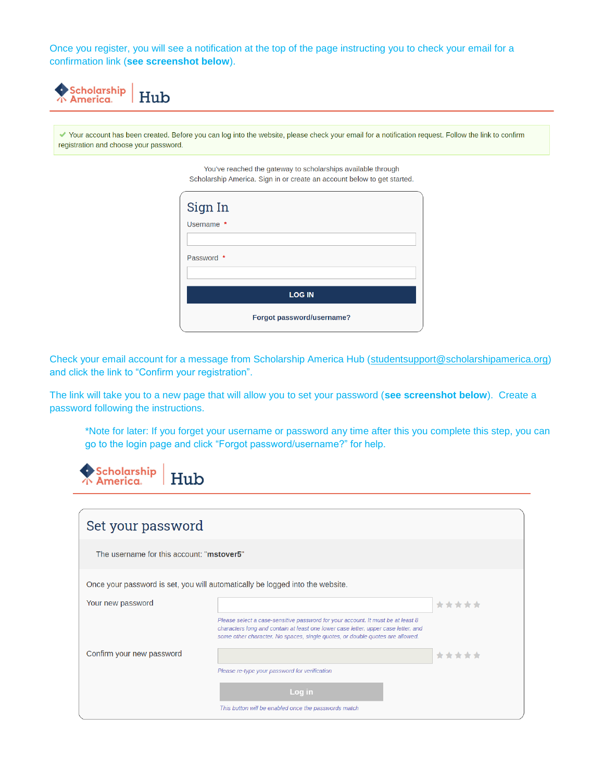Once you register, you will see a notification at the top of the page instructing you to check your email for a confirmation link (**see screenshot below**).



Your account has been created. Before you can log into the website, please check your email for a notification request. Follow the link to confirm registration and choose your password.

> You've reached the gateway to scholarships available through Scholarship America. Sign in or create an account below to get started.

| Sign In       |                           |  |  |  |  |  |
|---------------|---------------------------|--|--|--|--|--|
| Username *    |                           |  |  |  |  |  |
|               |                           |  |  |  |  |  |
| Password *    |                           |  |  |  |  |  |
|               |                           |  |  |  |  |  |
| <b>LOG IN</b> |                           |  |  |  |  |  |
|               | Forgot password/username? |  |  |  |  |  |

Check your email account for a message from Scholarship America Hub [\(studentsupport@scholarshipamerica.org\)](mailto:studentsupport@scholarshipamerica.org) and click the link to "Confirm your registration".

The link will take you to a new page that will allow you to set your password (**see screenshot below**). Create a password following the instructions.

\*Note for later: If you forget your username or password any time after this you complete this step, you can go to the login page and click "Forgot password/username?" for help.

| Scholarship<br>America                    |                                                                                                                                                                                                                                                        |       |
|-------------------------------------------|--------------------------------------------------------------------------------------------------------------------------------------------------------------------------------------------------------------------------------------------------------|-------|
| Set your password                         |                                                                                                                                                                                                                                                        |       |
| The username for this account: "mstover5" |                                                                                                                                                                                                                                                        |       |
|                                           | Once your password is set, you will automatically be logged into the website.                                                                                                                                                                          |       |
| Your new password                         |                                                                                                                                                                                                                                                        | ***** |
|                                           | Please select a case-sensitive password for your account. It must be at least 8<br>characters long and contain at least one lower case letter, upper case letter, and<br>some other character. No spaces, single quotes, or double quotes are allowed. |       |
| Confirm your new password                 |                                                                                                                                                                                                                                                        | ***** |
|                                           | Please re-type your password for verification                                                                                                                                                                                                          |       |
|                                           | Log in                                                                                                                                                                                                                                                 |       |
|                                           | This button will be enabled once the passwords match                                                                                                                                                                                                   |       |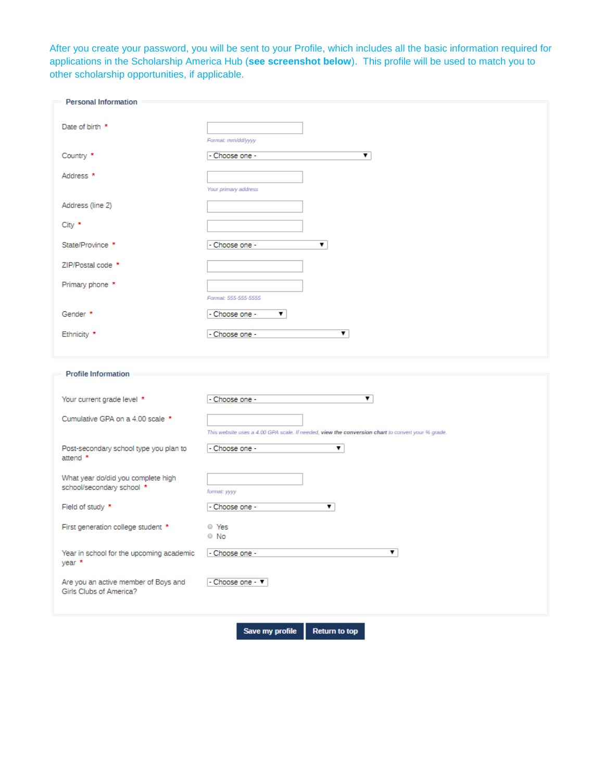After you create your password, you will be sent to your Profile, which includes all the basic information required for applications in the Scholarship America Hub (**see screenshot below**). This profile will be used to match you to other scholarship opportunities, if applicable.

| <b>Personal Information</b>              |                                                                                                   |
|------------------------------------------|---------------------------------------------------------------------------------------------------|
|                                          |                                                                                                   |
| Date of birth *                          |                                                                                                   |
|                                          | Format: mm/dd/yyyy                                                                                |
| Country *                                | - Choose one -<br>▼                                                                               |
| Address <sup>*</sup>                     |                                                                                                   |
|                                          | Your primary address                                                                              |
| Address (line 2)                         |                                                                                                   |
|                                          |                                                                                                   |
| City $*$                                 |                                                                                                   |
| State/Province *                         | ▼<br>- Choose one -                                                                               |
| ZIP/Postal code *                        |                                                                                                   |
| Primary phone *                          |                                                                                                   |
|                                          | Format: 555-555-5555                                                                              |
| Gender *                                 | ▼<br>Choose one -                                                                                 |
|                                          | ▼                                                                                                 |
| Ethnicity *                              | - Choose one -                                                                                    |
|                                          |                                                                                                   |
|                                          |                                                                                                   |
| <b>Profile Information</b>               |                                                                                                   |
|                                          |                                                                                                   |
| Your current grade level *               | ▼<br>- Choose one -                                                                               |
| Cumulative GPA on a 4.00 scale *         |                                                                                                   |
|                                          | This website uses a 4.00 GPA scale. If needed, view the conversion chart to convert your % grade. |
| Post-secondary school type you plan to   | ▼<br>- Choose one -                                                                               |
| attend $*$                               |                                                                                                   |
| What year do/did you complete high       |                                                                                                   |
| school/secondary school *                | format: yyyy                                                                                      |
| Field of study *                         | - Choose one -<br>▼.                                                                              |
|                                          | O Yes                                                                                             |
| First generation college student *       | $\circ$ No                                                                                        |
| Year in school for the upcoming academic | ▼<br>- Choose one -                                                                               |
| year *                                   |                                                                                                   |
| Are you an active member of Boys and     | - Choose one - ▼                                                                                  |
| Girls Clubs of America?                  |                                                                                                   |

Save my profile **Return to top**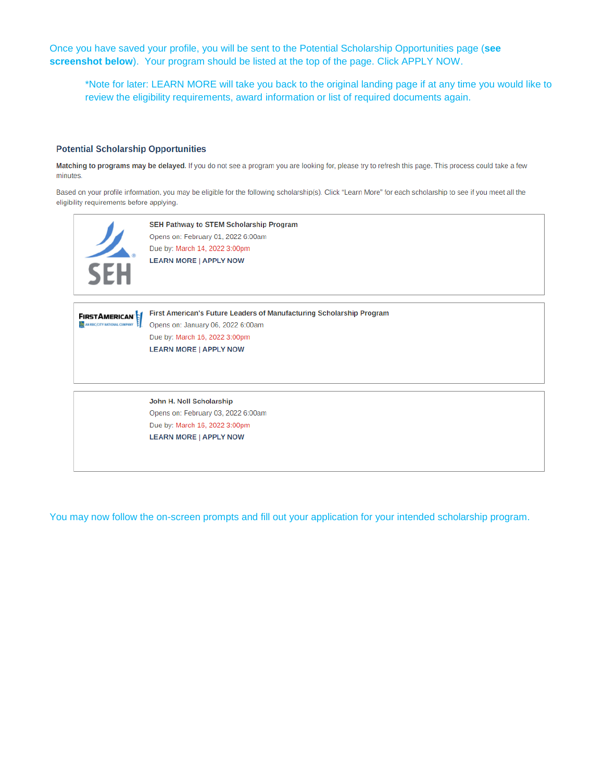Once you have saved your profile, you will be sent to the Potential Scholarship Opportunities page (**see screenshot below**). Your program should be listed at the top of the page. Click APPLY NOW.

\*Note for later: LEARN MORE will take you back to the original landing page if at any time you would like to review the eligibility requirements, award information or list of required documents again.

#### **Potential Scholarship Opportunities**

Matching to programs may be delayed. If you do not see a program you are looking for, please try to refresh this page. This process could take a few minutes.

Based on your profile information, you may be eligible for the following scholarship(s). Click "Learn More" for each scholarship to see if you meet all the eligibility requirements before applying.



You may now follow the on-screen prompts and fill out your application for your intended scholarship program.